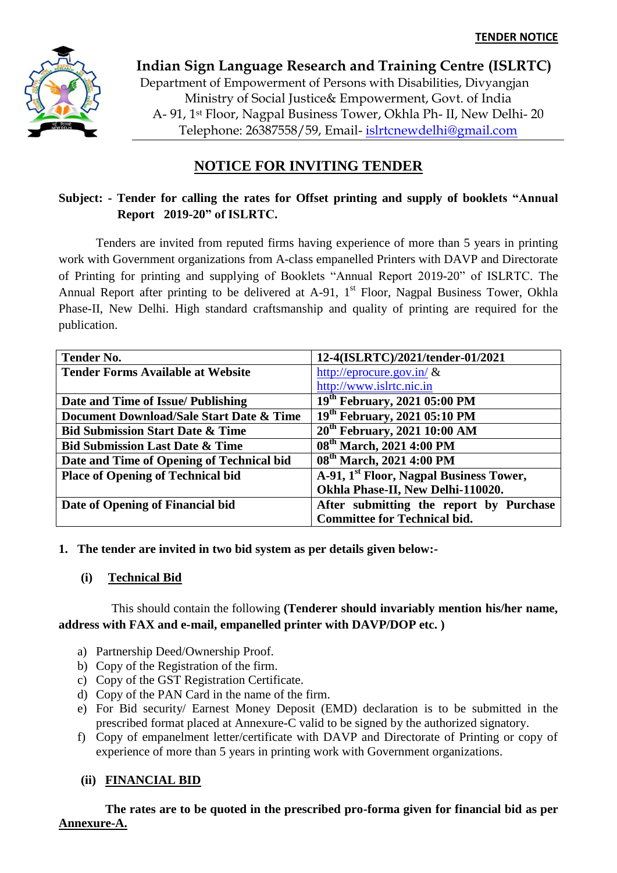

**Indian Sign Language Research and Training Centre (ISLRTC)** Department of Empowerment of Persons with Disabilities, Divyangjan Ministry of Social Justice& Empowerment, Govt. of India A- 91, 1st Floor, Nagpal Business Tower, Okhla Ph- II, New Delhi- 20 Telephone: 26387558/59, Email- [islrtcnewdelhi@gmail.com](mailto:islrtcnewdelhi@gmail.com)

# **NOTICE FOR INVITING TENDER**

## **Subject: - Tender for calling the rates for Offset printing and supply of booklets "Annual Report 2019-20" of ISLRTC.**

Tenders are invited from reputed firms having experience of more than 5 years in printing work with Government organizations from A-class empanelled Printers with DAVP and Directorate of Printing for printing and supplying of Booklets "Annual Report 2019-20" of ISLRTC. The Annual Report after printing to be delivered at  $A-91$ ,  $1<sup>st</sup>$  Floor, Nagpal Business Tower, Okhla Phase-II, New Delhi. High standard craftsmanship and quality of printing are required for the publication.

| <b>Tender No.</b>                           | 12-4(ISLRTC)/2021/tender-01/2021                    |
|---------------------------------------------|-----------------------------------------------------|
| <b>Tender Forms Available at Website</b>    | http://eprocure.gov.in/ $\&$                        |
|                                             | http://www.islrtc.nic.in                            |
| Date and Time of Issue/ Publishing          | 19 <sup>th</sup> February, 2021 05:00 PM            |
| Document Download/Sale Start Date & Time    | 19 <sup>th</sup> February, 2021 05:10 PM            |
| <b>Bid Submission Start Date &amp; Time</b> | 20 <sup>th</sup> February, 2021 10:00 AM            |
| <b>Bid Submission Last Date &amp; Time</b>  | 08 <sup>th</sup> March, 2021 4:00 PM                |
| Date and Time of Opening of Technical bid   | 08 <sup>th</sup> March, 2021 4:00 PM                |
| <b>Place of Opening of Technical bid</b>    | A-91, 1 <sup>st</sup> Floor, Nagpal Business Tower, |
|                                             | Okhla Phase-II, New Delhi-110020.                   |
| Date of Opening of Financial bid            | After submitting the report by Purchase             |
|                                             | <b>Committee for Technical bid.</b>                 |

## **1. The tender are invited in two bid system as per details given below:-**

## **(i) Technical Bid**

## This should contain the following **(Tenderer should invariably mention his/her name, address with FAX and e-mail, empanelled printer with DAVP/DOP etc. )**

- a) Partnership Deed/Ownership Proof.
- b) Copy of the Registration of the firm.
- c) Copy of the GST Registration Certificate.
- d) Copy of the PAN Card in the name of the firm.
- e) For Bid security/ Earnest Money Deposit (EMD) declaration is to be submitted in the prescribed format placed at Annexure-C valid to be signed by the authorized signatory.
- f) Copy of empanelment letter/certificate with DAVP and Directorate of Printing or copy of experience of more than 5 years in printing work with Government organizations.

## **(ii) FINANCIAL BID**

 **The rates are to be quoted in the prescribed pro-forma given for financial bid as per Annexure-A.**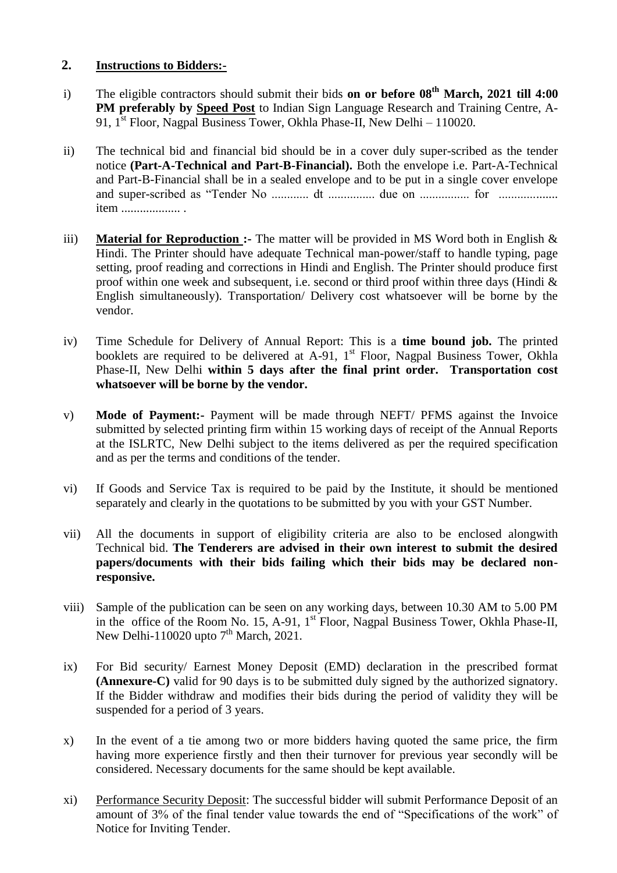## **2. Instructions to Bidders:-**

- i) The eligible contractors should submit their bids **on or before 08th March, 2021 till 4:00 PM preferably by Speed Post** to Indian Sign Language Research and Training Centre, A-91, 1st Floor, Nagpal Business Tower, Okhla Phase-II, New Delhi – 110020.
- ii) The technical bid and financial bid should be in a cover duly super-scribed as the tender notice **(Part-A-Technical and Part-B-Financial).** Both the envelope i.e. Part-A-Technical and Part-B-Financial shall be in a sealed envelope and to be put in a single cover envelope and super-scribed as "Tender No ............ dt ............... due on ................ for ................... item ................... .
- iii) **Material for Reproduction :-** The matter will be provided in MS Word both in English & Hindi. The Printer should have adequate Technical man-power/staff to handle typing, page setting, proof reading and corrections in Hindi and English. The Printer should produce first proof within one week and subsequent, i.e. second or third proof within three days (Hindi & English simultaneously). Transportation/ Delivery cost whatsoever will be borne by the vendor.
- iv) Time Schedule for Delivery of Annual Report: This is a **time bound job.** The printed booklets are required to be delivered at  $A-91$ ,  $1<sup>st</sup>$  Floor, Nagpal Business Tower, Okhla Phase-II, New Delhi **within 5 days after the final print order. Transportation cost whatsoever will be borne by the vendor.**
- v) **Mode of Payment:-** Payment will be made through NEFT/ PFMS against the Invoice submitted by selected printing firm within 15 working days of receipt of the Annual Reports at the ISLRTC, New Delhi subject to the items delivered as per the required specification and as per the terms and conditions of the tender.
- vi) If Goods and Service Tax is required to be paid by the Institute, it should be mentioned separately and clearly in the quotations to be submitted by you with your GST Number.
- vii) All the documents in support of eligibility criteria are also to be enclosed alongwith Technical bid. **The Tenderers are advised in their own interest to submit the desired papers/documents with their bids failing which their bids may be declared nonresponsive.**
- viii) Sample of the publication can be seen on any working days, between 10.30 AM to 5.00 PM in the office of the Room No. 15, A-91,  $1<sup>st</sup>$  Floor, Nagpal Business Tower, Okhla Phase-II, New Delhi-110020 upto  $7<sup>th</sup>$  March, 2021.
- ix) For Bid security/ Earnest Money Deposit (EMD) declaration in the prescribed format **(Annexure-C)** valid for 90 days is to be submitted duly signed by the authorized signatory. If the Bidder withdraw and modifies their bids during the period of validity they will be suspended for a period of 3 years.
- x) In the event of a tie among two or more bidders having quoted the same price, the firm having more experience firstly and then their turnover for previous year secondly will be considered. Necessary documents for the same should be kept available.
- xi) Performance Security Deposit: The successful bidder will submit Performance Deposit of an amount of 3% of the final tender value towards the end of "Specifications of the work" of Notice for Inviting Tender.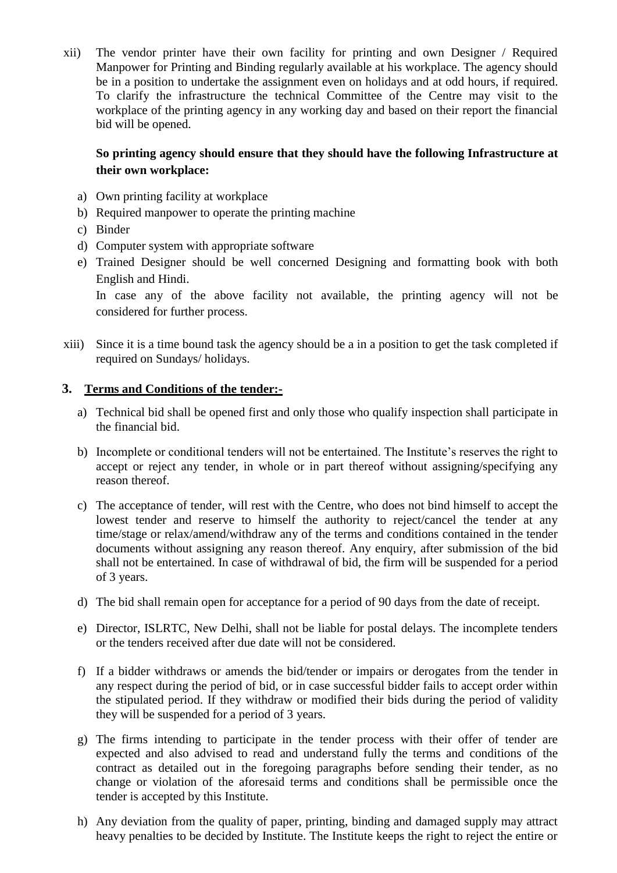xii) The vendor printer have their own facility for printing and own Designer / Required Manpower for Printing and Binding regularly available at his workplace. The agency should be in a position to undertake the assignment even on holidays and at odd hours, if required. To clarify the infrastructure the technical Committee of the Centre may visit to the workplace of the printing agency in any working day and based on their report the financial bid will be opened.

## **So printing agency should ensure that they should have the following Infrastructure at their own workplace:**

- a) Own printing facility at workplace
- b) Required manpower to operate the printing machine
- c) Binder
- d) Computer system with appropriate software
- e) Trained Designer should be well concerned Designing and formatting book with both English and Hindi.

In case any of the above facility not available, the printing agency will not be considered for further process.

xiii) Since it is a time bound task the agency should be a in a position to get the task completed if required on Sundays/ holidays.

## **3. Terms and Conditions of the tender:-**

- a) Technical bid shall be opened first and only those who qualify inspection shall participate in the financial bid.
- b) Incomplete or conditional tenders will not be entertained. The Institute's reserves the right to accept or reject any tender, in whole or in part thereof without assigning/specifying any reason thereof.
- c) The acceptance of tender, will rest with the Centre, who does not bind himself to accept the lowest tender and reserve to himself the authority to reject/cancel the tender at any time/stage or relax/amend/withdraw any of the terms and conditions contained in the tender documents without assigning any reason thereof. Any enquiry, after submission of the bid shall not be entertained. In case of withdrawal of bid, the firm will be suspended for a period of 3 years.
- d) The bid shall remain open for acceptance for a period of 90 days from the date of receipt.
- e) Director, ISLRTC, New Delhi, shall not be liable for postal delays. The incomplete tenders or the tenders received after due date will not be considered.
- f) If a bidder withdraws or amends the bid/tender or impairs or derogates from the tender in any respect during the period of bid, or in case successful bidder fails to accept order within the stipulated period. If they withdraw or modified their bids during the period of validity they will be suspended for a period of 3 years.
- g) The firms intending to participate in the tender process with their offer of tender are expected and also advised to read and understand fully the terms and conditions of the contract as detailed out in the foregoing paragraphs before sending their tender, as no change or violation of the aforesaid terms and conditions shall be permissible once the tender is accepted by this Institute.
- h) Any deviation from the quality of paper, printing, binding and damaged supply may attract heavy penalties to be decided by Institute. The Institute keeps the right to reject the entire or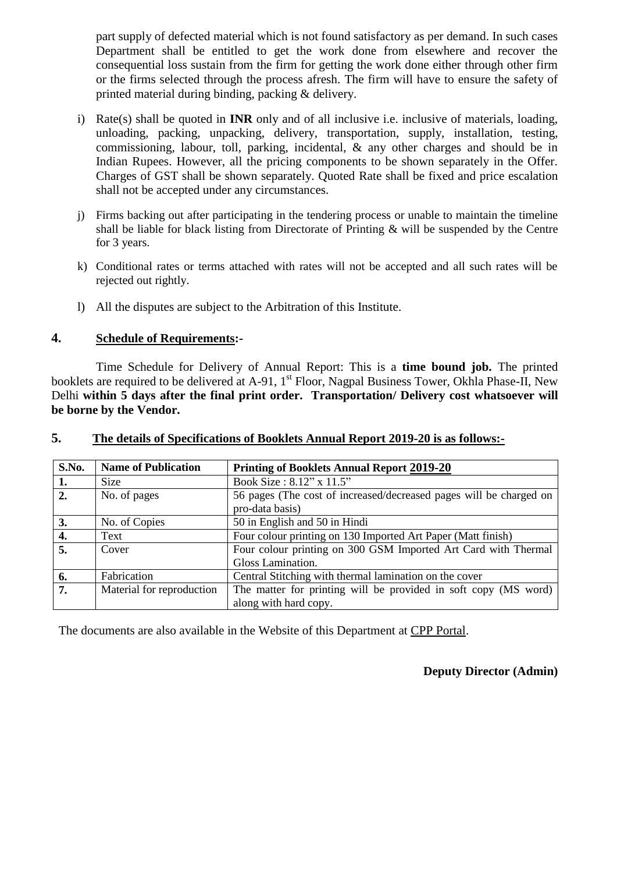part supply of defected material which is not found satisfactory as per demand. In such cases Department shall be entitled to get the work done from elsewhere and recover the consequential loss sustain from the firm for getting the work done either through other firm or the firms selected through the process afresh. The firm will have to ensure the safety of printed material during binding, packing & delivery.

- i) Rate(s) shall be quoted in **INR** only and of all inclusive i.e. inclusive of materials, loading, unloading, packing, unpacking, delivery, transportation, supply, installation, testing, commissioning, labour, toll, parking, incidental, & any other charges and should be in Indian Rupees. However, all the pricing components to be shown separately in the Offer. Charges of GST shall be shown separately. Quoted Rate shall be fixed and price escalation shall not be accepted under any circumstances.
- j) Firms backing out after participating in the tendering process or unable to maintain the timeline shall be liable for black listing from Directorate of Printing & will be suspended by the Centre for 3 years.
- k) Conditional rates or terms attached with rates will not be accepted and all such rates will be rejected out rightly.
- l) All the disputes are subject to the Arbitration of this Institute.

## **4. Schedule of Requirements:-**

Time Schedule for Delivery of Annual Report: This is a **time bound job.** The printed booklets are required to be delivered at A-91, 1<sup>st</sup> Floor, Nagpal Business Tower, Okhla Phase-II, New Delhi **within 5 days after the final print order. Transportation/ Delivery cost whatsoever will be borne by the Vendor.**

| S.No. | <b>Name of Publication</b> | <b>Printing of Booklets Annual Report 2019-20</b>                  |
|-------|----------------------------|--------------------------------------------------------------------|
| 1.    | <b>Size</b>                | Book Size: 8.12" x 11.5"                                           |
| 2.    | No. of pages               | 56 pages (The cost of increased/decreased pages will be charged on |
|       |                            | pro-data basis)                                                    |
| 3.    | No. of Copies              | 50 in English and 50 in Hindi                                      |
| 4.    | Text                       | Four colour printing on 130 Imported Art Paper (Matt finish)       |
| 5.    | Cover                      | Four colour printing on 300 GSM Imported Art Card with Thermal     |
|       |                            | Gloss Lamination.                                                  |
| 6.    | Fabrication                | Central Stitching with thermal lamination on the cover             |
| 7.    | Material for reproduction  | The matter for printing will be provided in soft copy (MS word)    |
|       |                            | along with hard copy.                                              |

#### **5. The details of Specifications of Booklets Annual Report 2019-20 is as follows:-**

The documents are also available in the Website of this Department at CPP Portal.

**Deputy Director (Admin)**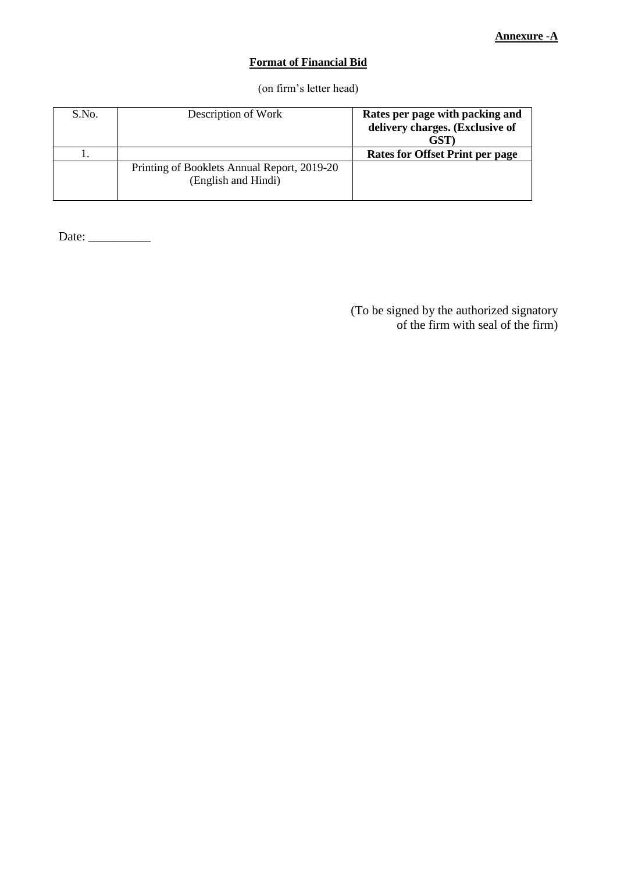#### **Format of Financial Bid**

(on firm's letter head)

| S.No. | Description of Work                                                | Rates per page with packing and<br>delivery charges. (Exclusive of<br><b>GST</b> |
|-------|--------------------------------------------------------------------|----------------------------------------------------------------------------------|
|       |                                                                    | <b>Rates for Offset Print per page</b>                                           |
|       | Printing of Booklets Annual Report, 2019-20<br>(English and Hindi) |                                                                                  |

Date: \_\_\_\_\_\_\_\_\_\_

(To be signed by the authorized signatory of the firm with seal of the firm)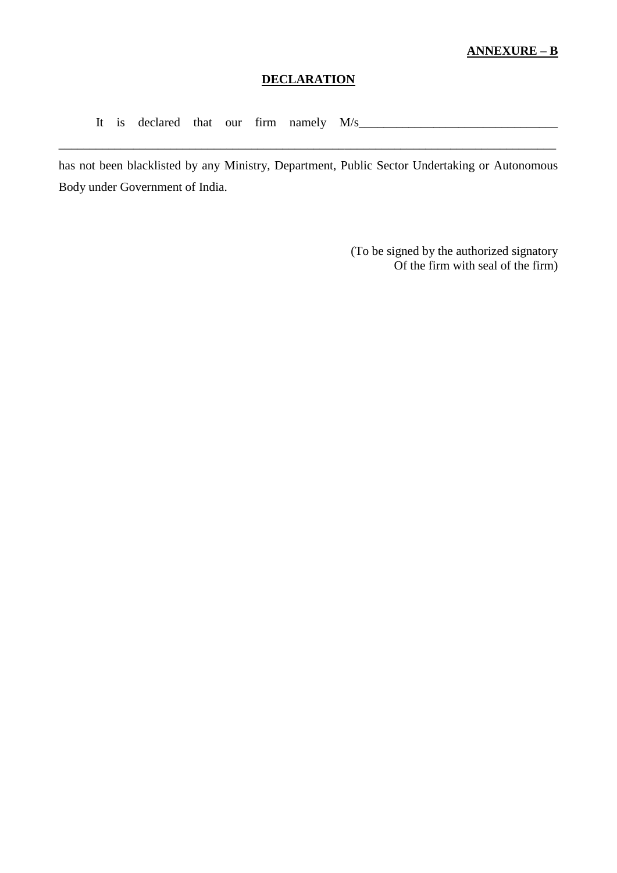#### **ANNEXURE – B**

## **DECLARATION**

It is declared that our firm namely  $M/s$ 

has not been blacklisted by any Ministry, Department, Public Sector Undertaking or Autonomous Body under Government of India.

\_\_\_\_\_\_\_\_\_\_\_\_\_\_\_\_\_\_\_\_\_\_\_\_\_\_\_\_\_\_\_\_\_\_\_\_\_\_\_\_\_\_\_\_\_\_\_\_\_\_\_\_\_\_\_\_\_\_\_\_\_\_\_\_\_\_\_\_\_\_\_\_\_\_\_\_\_\_\_\_

(To be signed by the authorized signatory Of the firm with seal of the firm)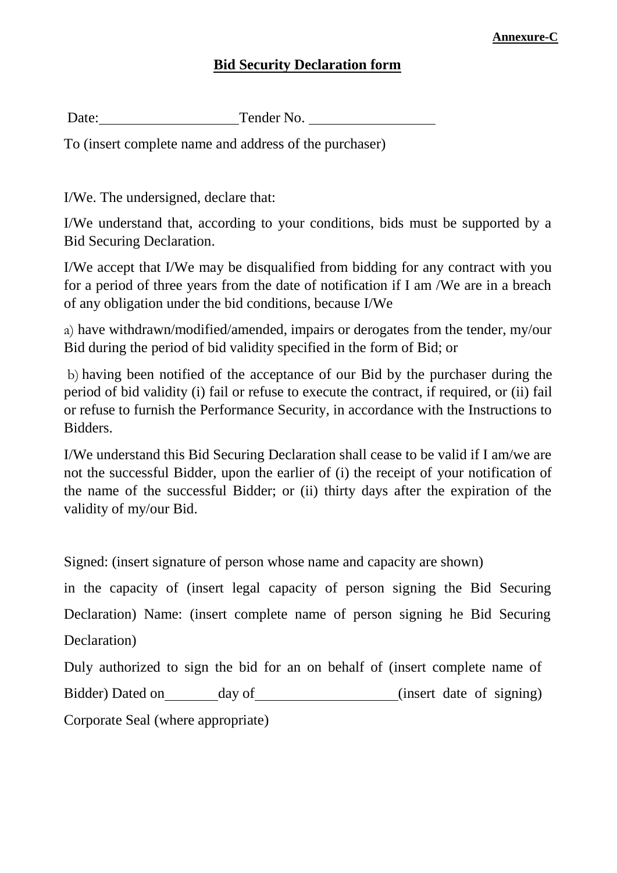#### **Annexure-C**

## **Bid Security Declaration form**

Date: Tender No.

To (insert complete name and address of the purchaser)

I/We. The undersigned, declare that:

I/We understand that, according to your conditions, bids must be supported by a Bid Securing Declaration.

I/We accept that I/We may be disqualified from bidding for any contract with you for a period of three years from the date of notification if I am /We are in a breach of any obligation under the bid conditions, because I/We

a) have withdrawn/modified/amended, impairs or derogates from the tender, my/our Bid during the period of bid validity specified in the form of Bid; or

b) having been notified of the acceptance of our Bid by the purchaser during the period of bid validity (i) fail or refuse to execute the contract, if required, or (ii) fail or refuse to furnish the Performance Security, in accordance with the Instructions to Bidders.

I/We understand this Bid Securing Declaration shall cease to be valid if I am/we are not the successful Bidder, upon the earlier of (i) the receipt of your notification of the name of the successful Bidder; or (ii) thirty days after the expiration of the validity of my/our Bid.

Signed: (insert signature of person whose name and capacity are shown)

in the capacity of (insert legal capacity of person signing the Bid Securing Declaration) Name: (insert complete name of person signing he Bid Securing Declaration)

```
Duly authorized to sign the bid for an on behalf of (insert complete name of 
Bidder) Dated on day of (insert date of signing)
Corporate Seal (where appropriate)
```